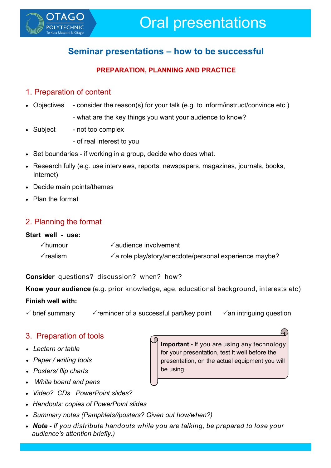

# **Seminar presentations – how to be successful**

#### **PREPARATION, PLANNING AND PRACTICE**

#### 1. Preparation of content

- Objectives consider the reason(s) for your talk (e.g. to inform/instruct/convince etc.)
	- what are the key things you want your audience to know?
- Subject not too complex
	- of real interest to you
- Set boundaries if working in a group, decide who does what.
- Research fully (e.g. use interviews, reports, newspapers, magazines, journals, books, Internet)
- Decide main points/themes
- Plan the format

## 2. Planning the format

#### **Start well - use:**

| √humour  | $\checkmark$ audience involvement                              |
|----------|----------------------------------------------------------------|
| √realism | $\sqrt{a}$ role play/story/anecdote/personal experience maybe? |

**Consider** questions? discussion? when? how?

**Know your audience** (e.g. prior knowledge, age, educational background, interests etc)

#### **Finish well with:**

 $\checkmark$  brief summary  $\checkmark$  reminder of a successful part/key point  $\checkmark$  an intriguing question

## 3. Preparation of tools

- *Lectern or table*
- *Paper / writing tools*
- *Posters/ flip charts*
- *White board and pens*
- *Video? CDs PowerPoint slides?*
- *Handouts: copies of PowerPoint slides*
- *Summary notes (Pamphlets//posters? Given out how/when?)*
- *Note - If you distribute handouts while you are talking, be prepared to lose your audience's attention briefly.)*

**Important -** If you are using any technology for your presentation, test it well before the presentation, on the actual equipment you will be using.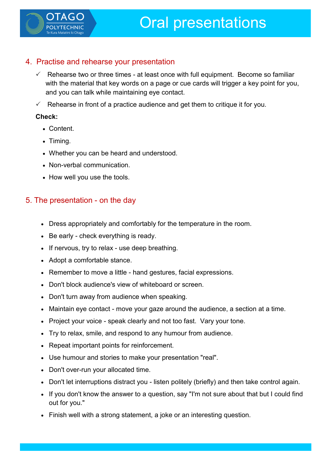

### 4. Practise and rehearse your presentation

- $\checkmark$  Rehearse two or three times at least once with full equipment. Become so familiar with the material that key words on a page or cue cards will trigger a key point for you, and you can talk while maintaining eye contact.
- Rehearse in front of a practice audience and get them to critique it for you.

#### **Check:**

- Content.
- Timing.
- Whether you can be heard and understood.
- Non-verbal communication.
- How well you use the tools.

## 5. The presentation - on the day

- Dress appropriately and comfortably for the temperature in the room.
- Be early check everything is ready.
- If nervous, try to relax use deep breathing.
- Adopt a comfortable stance.
- Remember to move a little hand gestures, facial expressions.
- Don't block audience's view of whiteboard or screen.
- Don't turn away from audience when speaking.
- Maintain eye contact move your gaze around the audience, a section at a time.
- Project your voice speak clearly and not too fast. Vary your tone.
- Try to relax, smile, and respond to any humour from audience.
- Repeat important points for reinforcement.
- Use humour and stories to make your presentation "real".
- Don't over-run your allocated time.
- Don't let interruptions distract you listen politely (briefly) and then take control again.
- If you don't know the answer to a question, say "I'm not sure about that but I could find out for you."
- Finish well with a strong statement, a joke or an interesting question.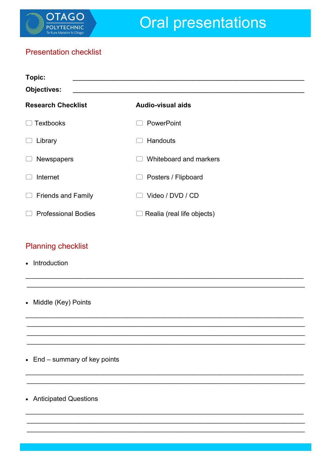

## **Presentation checklist**

| Topic:<br><b>Objectives:</b>        |                                       |
|-------------------------------------|---------------------------------------|
| <b>Research Checklist</b>           | <b>Audio-visual aids</b>              |
| <b>Textbooks</b>                    | <b>PowerPoint</b>                     |
| Library                             | <b>Handouts</b>                       |
| <b>Newspapers</b>                   | Whiteboard and markers                |
| Internet                            | Posters / Flipboard<br>$\mathbb{R}^n$ |
| <b>Friends and Family</b><br>$\cup$ | Video / DVD / CD                      |
| <b>Professional Bodies</b>          | Realia (real life objects)            |

## **Planning checklist**

- Introduction
- Middle (Key) Points

 $\bullet$  End – summary of key points

• Anticipated Questions